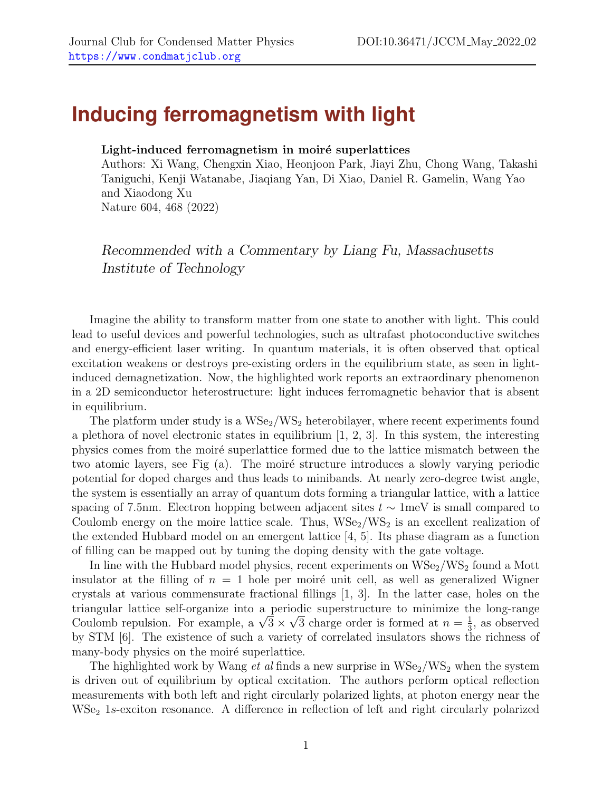## **Inducing ferromagnetism with light**

## Light-induced ferromagnetism in moiré superlattices

Authors: Xi Wang, Chengxin Xiao, Heonjoon Park, Jiayi Zhu, Chong Wang, Takashi Taniguchi, Kenji Watanabe, Jiaqiang Yan, Di Xiao, Daniel R. Gamelin, Wang Yao and Xiaodong Xu Nature 604, 468 (2022)

Recommended with a Commentary by Liang Fu, Massachusetts Institute of Technology

Imagine the ability to transform matter from one state to another with light. This could lead to useful devices and powerful technologies, such as ultrafast photoconductive switches and energy-efficient laser writing. In quantum materials, it is often observed that optical excitation weakens or destroys pre-existing orders in the equilibrium state, as seen in lightinduced demagnetization. Now, the highlighted work reports an extraordinary phenomenon in a 2D semiconductor heterostructure: light induces ferromagnetic behavior that is absent in equilibrium.

The platform under study is a  $WSe_2/WSe_2$  heterobilayer, where recent experiments found a plethora of novel electronic states in equilibrium  $[1, 2, 3]$  $[1, 2, 3]$  $[1, 2, 3]$ . In this system, the interesting physics comes from the moir´e superlattice formed due to the lattice mismatch between the two atomic layers, see Fig (a). The moiré structure introduces a slowly varying periodic potential for doped charges and thus leads to minibands. At nearly zero-degree twist angle, the system is essentially an array of quantum dots forming a triangular lattice, with a lattice spacing of 7.5nm. Electron hopping between adjacent sites  $t \sim 1$ meV is small compared to Coulomb energy on the moire lattice scale. Thus,  $WSe_2/WS_2$  is an excellent realization of the extended Hubbard model on an emergent lattice [\[4,](#page-2-3) [5\]](#page-2-4). Its phase diagram as a function of filling can be mapped out by tuning the doping density with the gate voltage.

In line with the Hubbard model physics, recent experiments on  $WSe_2/WSe_2$  found a Mott insulator at the filling of  $n = 1$  hole per moiré unit cell, as well as generalized Wigner crystals at various commensurate fractional fillings [\[1,](#page-2-0) [3\]](#page-2-2). In the latter case, holes on the triangular lattice self-organize into a periodic superstructure to minimize the long-range √ triangular lattice self-organize into a periodic superstructure to minimize the Coulomb repulsion. For example, a  $\sqrt{3} \times \sqrt{3}$  charge order is formed at  $n = \frac{1}{3}$  $\frac{1}{3}$ , as observed by STM [\[6\]](#page-2-5). The existence of such a variety of correlated insulators shows the richness of many-body physics on the moire superlattice.

The highlighted work by Wang *et al* finds a new surprise in  $WSe_2/WSe_2$  when the system is driven out of equilibrium by optical excitation. The authors perform optical reflection measurements with both left and right circularly polarized lights, at photon energy near the WSe<sub>2</sub> 1s-exciton resonance. A difference in reflection of left and right circularly polarized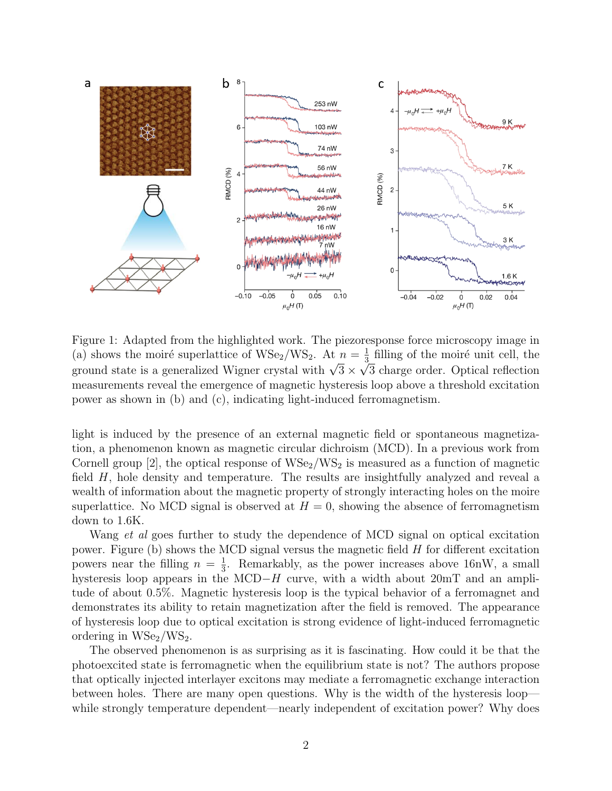

Figure 1: Adapted from the highlighted work. The piezoresponse force microscopy image in (a) shows the moiré superlattice of WSe<sub>2</sub>/WS<sub>2</sub>. At  $n = \frac{1}{3}$  $\frac{1}{3}$  filling of the moiré unit cell, the (a) shows the more superlatuce of  $wse_2/ws_2$ . At  $n = \frac{1}{3}$  minig of the more unit cent, the ground state is a generalized Wigner crystal with  $\sqrt{3} \times \sqrt{3}$  charge order. Optical reflection measurements reveal the emergence of magnetic hysteresis loop above a threshold excitation power as shown in (b) and (c), indicating light-induced ferromagnetism.

light is induced by the presence of an external magnetic field or spontaneous magnetization, a phenomenon known as magnetic circular dichroism (MCD). In a previous work from Cornell group [\[2\]](#page-2-1), the optical response of  $WSe_2/WSe_2$  is measured as a function of magnetic field H, hole density and temperature. The results are insightfully analyzed and reveal a wealth of information about the magnetic property of strongly interacting holes on the moire superlattice. No MCD signal is observed at  $H = 0$ , showing the absence of ferromagnetism down to 1.6K.

Wang *et al* goes further to study the dependence of MCD signal on optical excitation power. Figure (b) shows the MCD signal versus the magnetic field  $H$  for different excitation powers near the filling  $n = \frac{1}{3}$  $\frac{1}{3}$ . Remarkably, as the power increases above 16nW, a small hysteresis loop appears in the MCD−H curve, with a width about  $20mT$  and an amplitude of about 0.5%. Magnetic hysteresis loop is the typical behavior of a ferromagnet and demonstrates its ability to retain magnetization after the field is removed. The appearance of hysteresis loop due to optical excitation is strong evidence of light-induced ferromagnetic ordering in  $WSe<sub>2</sub>/WS<sub>2</sub>$ .

The observed phenomenon is as surprising as it is fascinating. How could it be that the photoexcited state is ferromagnetic when the equilibrium state is not? The authors propose that optically injected interlayer excitons may mediate a ferromagnetic exchange interaction between holes. There are many open questions. Why is the width of the hysteresis loop while strongly temperature dependent—nearly independent of excitation power? Why does